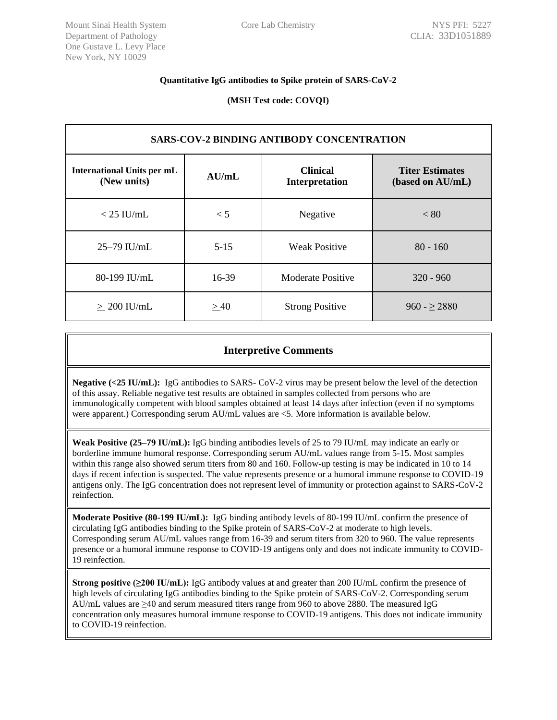## **Quantitative IgG antibodies to Spike protein of SARS-CoV-2**

**(MSH Test code: COVQI)**

| <b>SARS-COV-2 BINDING ANTIBODY CONCENTRATION</b> |          |                                   |                                            |
|--------------------------------------------------|----------|-----------------------------------|--------------------------------------------|
| <b>International Units per mL</b><br>(New units) | AU/mL    | <b>Clinical</b><br>Interpretation | <b>Titer Estimates</b><br>(based on AU/mL) |
| $<$ 25 IU/mL                                     | $\lt$ 5  | Negative                          | < 80                                       |
| 25-79 IU/mL                                      | $5 - 15$ | <b>Weak Positive</b>              | $80 - 160$                                 |
| 80-199 IU/mL                                     | 16-39    | Moderate Positive                 | $320 - 960$                                |
| $> 200$ IU/mL                                    | >40      | <b>Strong Positive</b>            | $960 - \geq 2880$                          |

# **Interpretive Comments**

**Negative (<25 IU/mL):** IgG antibodies to SARS- CoV-2 virus may be present below the level of the detection of this assay. Reliable negative test results are obtained in samples collected from persons who are immunologically competent with blood samples obtained at least 14 days after infection (even if no symptoms were apparent.) Corresponding serum AU/mL values are <5. More information is available below.

**Weak Positive (25–79 IU/mL):** IgG binding antibodies levels of 25 to 79 IU/mL may indicate an early or borderline immune humoral response. Corresponding serum AU/mL values range from 5-15. Most samples within this range also showed serum titers from 80 and 160. Follow-up testing is may be indicated in 10 to 14 days if recent infection is suspected. The value represents presence or a humoral immune response to COVID-19 antigens only. The IgG concentration does not represent level of immunity or protection against to SARS-CoV-2 reinfection.

**Moderate Positive (80-199 IU/mL):** IgG binding antibody levels of 80-199 IU/mL confirm the presence of circulating IgG antibodies binding to the Spike protein of SARS-CoV-2 at moderate to high levels. Corresponding serum AU/mL values range from 16-39 and serum titers from 320 to 960. The value represents presence or a humoral immune response to COVID-19 antigens only and does not indicate immunity to COVID-19 reinfection.

**Strong positive (≥200 IU/mL):** IgG antibody values at and greater than 200 IU/mL confirm the presence of high levels of circulating IgG antibodies binding to the Spike protein of SARS-CoV-2. Corresponding serum AU/mL values are ≥40 and serum measured titers range from 960 to above 2880. The measured IgG concentration only measures humoral immune response to COVID-19 antigens. This does not indicate immunity to COVID-19 reinfection.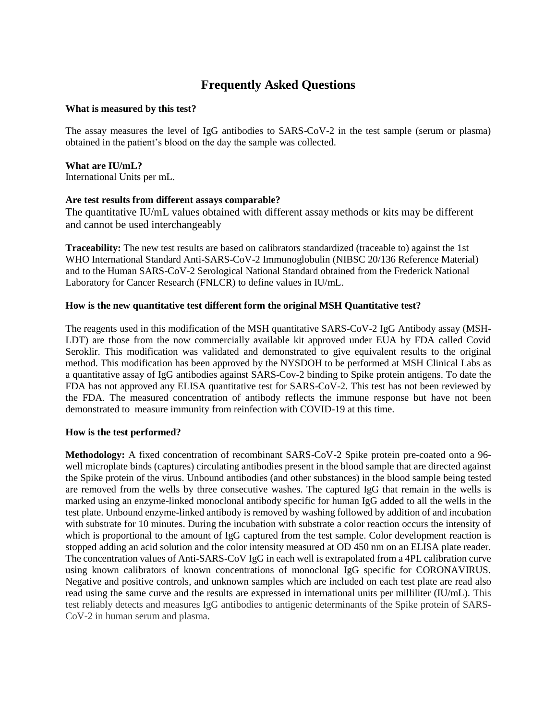# **Frequently Asked Questions**

#### **What is measured by this test?**

The assay measures the level of IgG antibodies to SARS-CoV-2 in the test sample (serum or plasma) obtained in the patient's blood on the day the sample was collected.

## **What are IU/mL?**

International Units per mL.

# **Are test results from different assays comparable?**

The quantitative IU/mL values obtained with different assay methods or kits may be different and cannot be used interchangeably

**Traceability:** The new test results are based on calibrators standardized (traceable to) against the 1st WHO International Standard Anti-SARS-CoV-2 Immunoglobulin (NIBSC 20/136 Reference Material) and to the Human SARS-CoV-2 Serological National Standard obtained from the Frederick National Laboratory for Cancer Research (FNLCR) to define values in IU/mL.

## **How is the new quantitative test different form the original MSH Quantitative test?**

The reagents used in this modification of the MSH quantitative SARS-CoV-2 IgG Antibody assay (MSH-LDT) are those from the now commercially available kit approved under EUA by FDA called Covid Seroklir. This modification was validated and demonstrated to give equivalent results to the original method. This modification has been approved by the NYSDOH to be performed at MSH Clinical Labs as a quantitative assay of IgG antibodies against SARS-Cov-2 binding to Spike protein antigens. To date the FDA has not approved any ELISA quantitative test for SARS-CoV-2. This test has not been reviewed by the FDA. The measured concentration of antibody reflects the immune response but have not been demonstrated to measure immunity from reinfection with COVID-19 at this time.

## **How is the test performed?**

**Methodology:** A fixed concentration of recombinant SARS-CoV-2 Spike protein pre-coated onto a 96 well microplate binds (captures) circulating antibodies present in the blood sample that are directed against the Spike protein of the virus. Unbound antibodies (and other substances) in the blood sample being tested are removed from the wells by three consecutive washes. The captured IgG that remain in the wells is marked using an enzyme-linked monoclonal antibody specific for human IgG added to all the wells in the test plate. Unbound enzyme-linked antibody is removed by washing followed by addition of and incubation with substrate for 10 minutes. During the incubation with substrate a color reaction occurs the intensity of which is proportional to the amount of IgG captured from the test sample. Color development reaction is stopped adding an acid solution and the color intensity measured at OD 450 nm on an ELISA plate reader. The concentration values of Anti-SARS-CoV IgG in each well is extrapolated from a 4PL calibration curve using known calibrators of known concentrations of monoclonal IgG specific for CORONAVIRUS. Negative and positive controls, and unknown samples which are included on each test plate are read also read using the same curve and the results are expressed in international units per milliliter (IU/mL). This test reliably detects and measures IgG antibodies to antigenic determinants of the Spike protein of SARS-CoV-2 in human serum and plasma.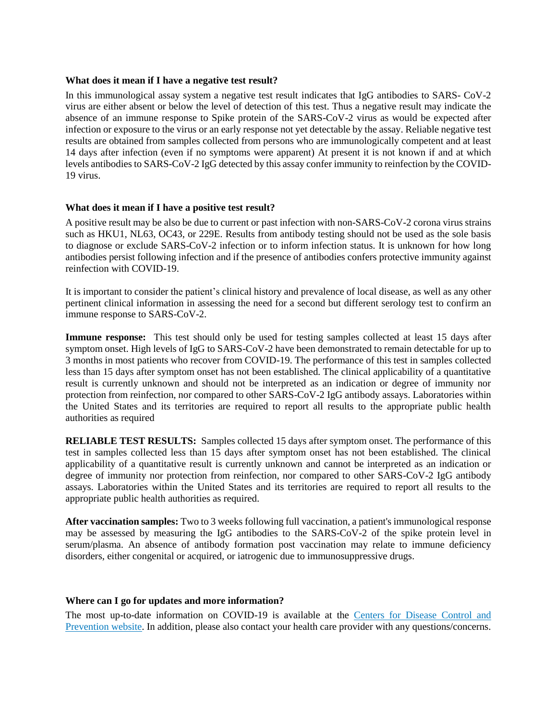#### **What does it mean if I have a negative test result?**

In this immunological assay system a negative test result indicates that IgG antibodies to SARS- CoV-2 virus are either absent or below the level of detection of this test. Thus a negative result may indicate the absence of an immune response to Spike protein of the SARS-CoV-2 virus as would be expected after infection or exposure to the virus or an early response not yet detectable by the assay. Reliable negative test results are obtained from samples collected from persons who are immunologically competent and at least 14 days after infection (even if no symptoms were apparent) At present it is not known if and at which levels antibodies to SARS-CoV-2 IgG detected by this assay confer immunity to reinfection by the COVID-19 virus.

## **What does it mean if I have a positive test result?**

A positive result may be also be due to current or past infection with non-SARS-CoV-2 corona virus strains such as HKU1, NL63, OC43, or 229E. Results from antibody testing should not be used as the sole basis to diagnose or exclude SARS-CoV-2 infection or to inform infection status. It is unknown for how long antibodies persist following infection and if the presence of antibodies confers protective immunity against reinfection with COVID-19.

It is important to consider the patient's clinical history and prevalence of local disease, as well as any other pertinent clinical information in assessing the need for a second but different serology test to confirm an immune response to SARS-CoV-2.

**Immune response:** This test should only be used for testing samples collected at least 15 days after symptom onset. High levels of IgG to SARS-CoV-2 have been demonstrated to remain detectable for up to 3 months in most patients who recover from COVID-19. The performance of this test in samples collected less than 15 days after symptom onset has not been established. The clinical applicability of a quantitative result is currently unknown and should not be interpreted as an indication or degree of immunity nor protection from reinfection, nor compared to other SARS-CoV-2 IgG antibody assays. Laboratories within the United States and its territories are required to report all results to the appropriate public health authorities as required

**RELIABLE TEST RESULTS:** Samples collected 15 days after symptom onset. The performance of this test in samples collected less than 15 days after symptom onset has not been established. The clinical applicability of a quantitative result is currently unknown and cannot be interpreted as an indication or degree of immunity nor protection from reinfection, nor compared to other SARS-CoV-2 IgG antibody assays. Laboratories within the United States and its territories are required to report all results to the appropriate public health authorities as required.

**After vaccination samples:** Two to 3 weeks following full vaccination, a patient's immunological response may be assessed by measuring the IgG antibodies to the SARS-CoV-2 of the spike protein level in serum/plasma. An absence of antibody formation post vaccination may relate to immune deficiency disorders, either congenital or acquired, or iatrogenic due to immunosuppressive drugs.

#### **Where can I go for updates and more information?**

The most up-to-date information on COVID-19 is available at the [Centers for Disease Control and](https://www.cdc.gov/COVID19)  [Prevention website.](https://www.cdc.gov/COVID19) In addition, please also contact your health care provider with any questions/concerns.